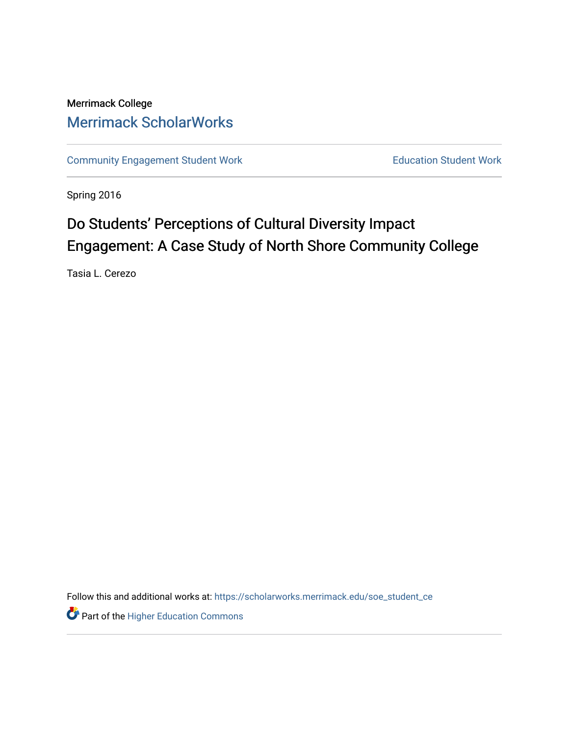## Merrimack College [Merrimack ScholarWorks](https://scholarworks.merrimack.edu/)

[Community Engagement Student Work](https://scholarworks.merrimack.edu/soe_student_ce) **Education Student Work** Education Student Work

Spring 2016

# Do Students' Perceptions of Cultural Diversity Impact Engagement: A Case Study of North Shore Community College

Tasia L. Cerezo

Follow this and additional works at: [https://scholarworks.merrimack.edu/soe\\_student\\_ce](https://scholarworks.merrimack.edu/soe_student_ce?utm_source=scholarworks.merrimack.edu%2Fsoe_student_ce%2F51&utm_medium=PDF&utm_campaign=PDFCoverPages) 

Part of the [Higher Education Commons](http://network.bepress.com/hgg/discipline/1245?utm_source=scholarworks.merrimack.edu%2Fsoe_student_ce%2F51&utm_medium=PDF&utm_campaign=PDFCoverPages)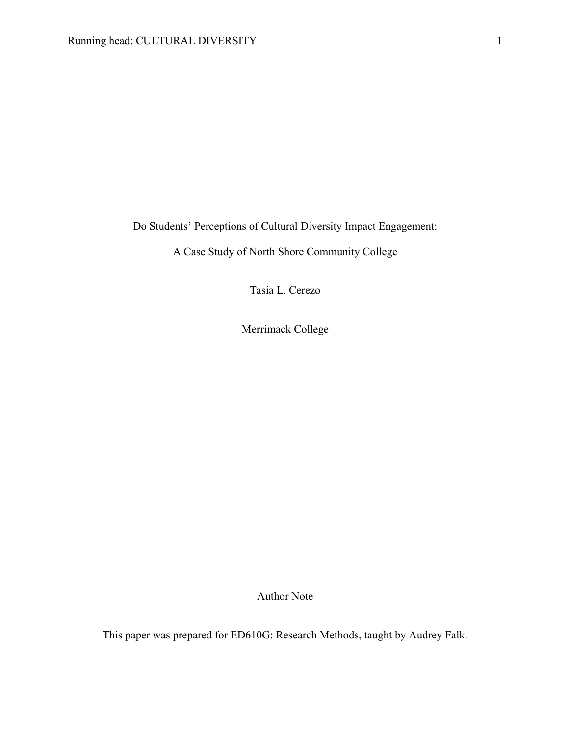Do Students' Perceptions of Cultural Diversity Impact Engagement:

A Case Study of North Shore Community College

Tasia L. Cerezo

Merrimack College

Author Note

This paper was prepared for ED610G: Research Methods, taught by Audrey Falk.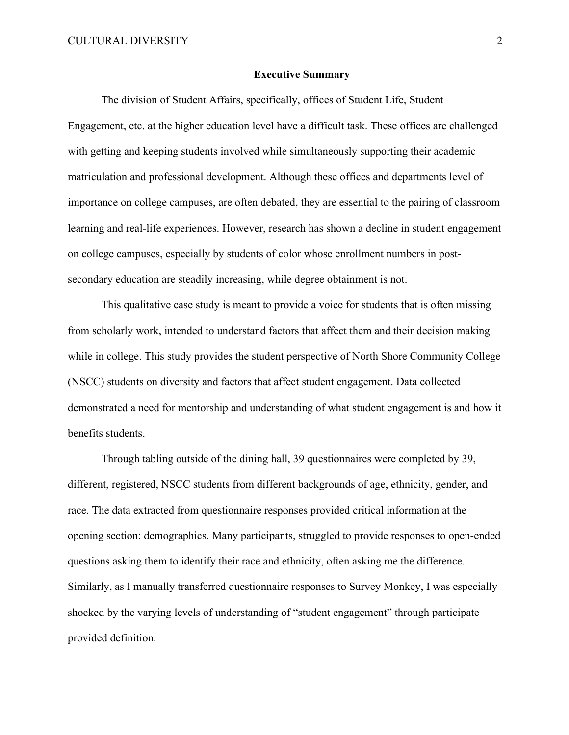### **Executive Summary**

The division of Student Affairs, specifically, offices of Student Life, Student Engagement, etc. at the higher education level have a difficult task. These offices are challenged with getting and keeping students involved while simultaneously supporting their academic matriculation and professional development. Although these offices and departments level of importance on college campuses, are often debated, they are essential to the pairing of classroom learning and real-life experiences. However, research has shown a decline in student engagement on college campuses, especially by students of color whose enrollment numbers in postsecondary education are steadily increasing, while degree obtainment is not.

This qualitative case study is meant to provide a voice for students that is often missing from scholarly work, intended to understand factors that affect them and their decision making while in college. This study provides the student perspective of North Shore Community College (NSCC) students on diversity and factors that affect student engagement. Data collected demonstrated a need for mentorship and understanding of what student engagement is and how it benefits students.

Through tabling outside of the dining hall, 39 questionnaires were completed by 39, different, registered, NSCC students from different backgrounds of age, ethnicity, gender, and race. The data extracted from questionnaire responses provided critical information at the opening section: demographics. Many participants, struggled to provide responses to open-ended questions asking them to identify their race and ethnicity, often asking me the difference. Similarly, as I manually transferred questionnaire responses to Survey Monkey, I was especially shocked by the varying levels of understanding of "student engagement" through participate provided definition.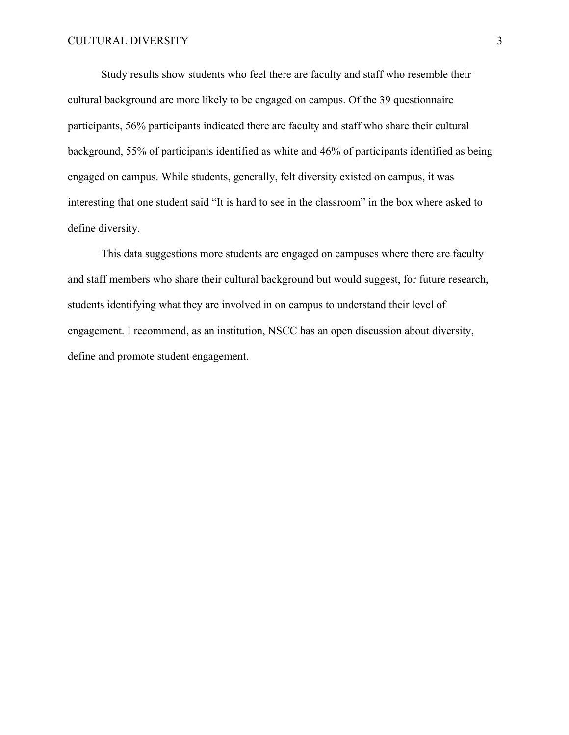Study results show students who feel there are faculty and staff who resemble their cultural background are more likely to be engaged on campus. Of the 39 questionnaire participants, 56% participants indicated there are faculty and staff who share their cultural background, 55% of participants identified as white and 46% of participants identified as being engaged on campus. While students, generally, felt diversity existed on campus, it was interesting that one student said "It is hard to see in the classroom" in the box where asked to define diversity.

This data suggestions more students are engaged on campuses where there are faculty and staff members who share their cultural background but would suggest, for future research, students identifying what they are involved in on campus to understand their level of engagement. I recommend, as an institution, NSCC has an open discussion about diversity, define and promote student engagement.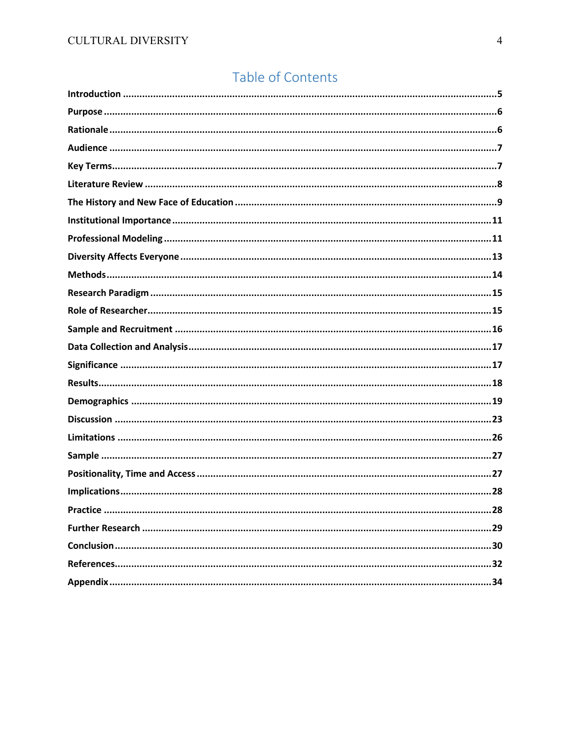## Table of Contents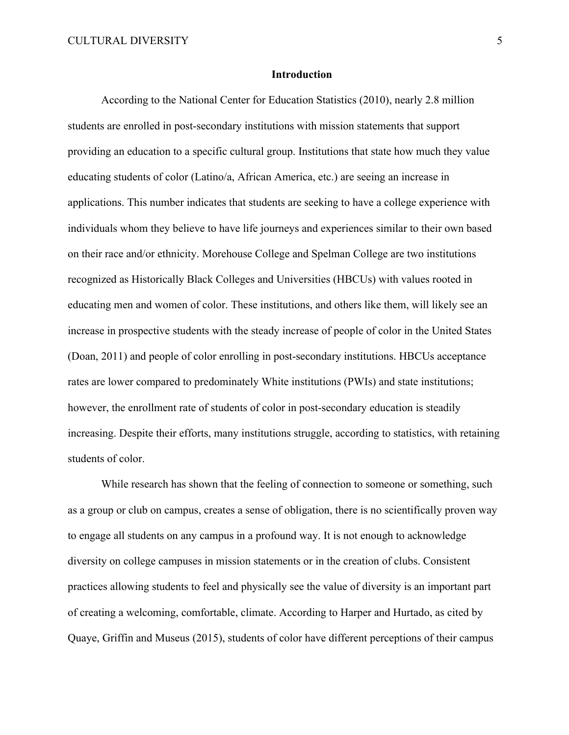### **Introduction**

According to the National Center for Education Statistics (2010), nearly 2.8 million students are enrolled in post-secondary institutions with mission statements that support providing an education to a specific cultural group. Institutions that state how much they value educating students of color (Latino/a, African America, etc.) are seeing an increase in applications. This number indicates that students are seeking to have a college experience with individuals whom they believe to have life journeys and experiences similar to their own based on their race and/or ethnicity. Morehouse College and Spelman College are two institutions recognized as Historically Black Colleges and Universities (HBCUs) with values rooted in educating men and women of color. These institutions, and others like them, will likely see an increase in prospective students with the steady increase of people of color in the United States (Doan, 2011) and people of color enrolling in post-secondary institutions. HBCUs acceptance rates are lower compared to predominately White institutions (PWIs) and state institutions; however, the enrollment rate of students of color in post-secondary education is steadily increasing. Despite their efforts, many institutions struggle, according to statistics, with retaining students of color.

While research has shown that the feeling of connection to someone or something, such as a group or club on campus, creates a sense of obligation, there is no scientifically proven way to engage all students on any campus in a profound way. It is not enough to acknowledge diversity on college campuses in mission statements or in the creation of clubs. Consistent practices allowing students to feel and physically see the value of diversity is an important part of creating a welcoming, comfortable, climate. According to Harper and Hurtado, as cited by Quaye, Griffin and Museus (2015), students of color have different perceptions of their campus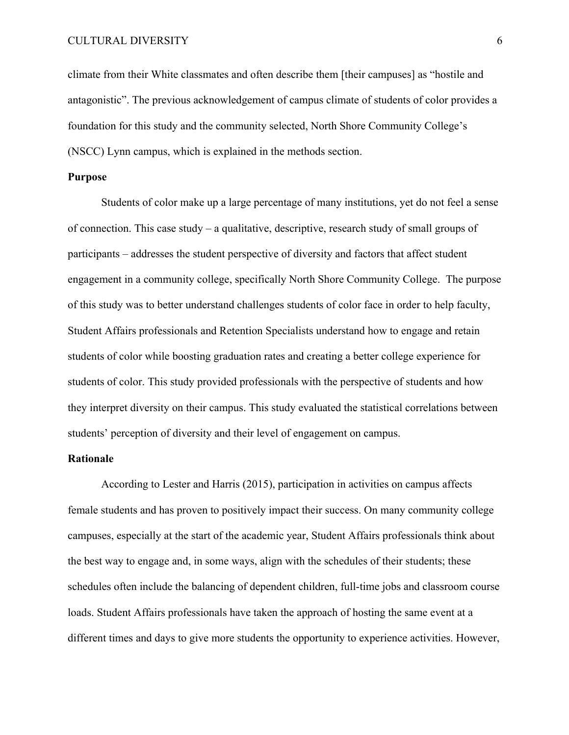climate from their White classmates and often describe them [their campuses] as "hostile and antagonistic". The previous acknowledgement of campus climate of students of color provides a foundation for this study and the community selected, North Shore Community College's (NSCC) Lynn campus, which is explained in the methods section.

### **Purpose**

Students of color make up a large percentage of many institutions, yet do not feel a sense of connection. This case study – a qualitative, descriptive, research study of small groups of participants – addresses the student perspective of diversity and factors that affect student engagement in a community college, specifically North Shore Community College. The purpose of this study was to better understand challenges students of color face in order to help faculty, Student Affairs professionals and Retention Specialists understand how to engage and retain students of color while boosting graduation rates and creating a better college experience for students of color. This study provided professionals with the perspective of students and how they interpret diversity on their campus. This study evaluated the statistical correlations between students' perception of diversity and their level of engagement on campus.

### **Rationale**

According to Lester and Harris (2015), participation in activities on campus affects female students and has proven to positively impact their success. On many community college campuses, especially at the start of the academic year, Student Affairs professionals think about the best way to engage and, in some ways, align with the schedules of their students; these schedules often include the balancing of dependent children, full-time jobs and classroom course loads. Student Affairs professionals have taken the approach of hosting the same event at a different times and days to give more students the opportunity to experience activities. However,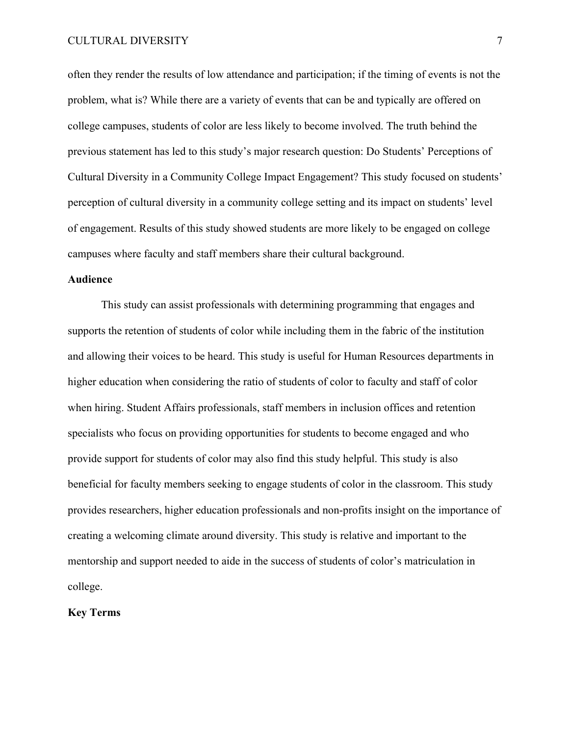often they render the results of low attendance and participation; if the timing of events is not the problem, what is? While there are a variety of events that can be and typically are offered on college campuses, students of color are less likely to become involved. The truth behind the previous statement has led to this study's major research question: Do Students' Perceptions of Cultural Diversity in a Community College Impact Engagement? This study focused on students' perception of cultural diversity in a community college setting and its impact on students' level of engagement. Results of this study showed students are more likely to be engaged on college campuses where faculty and staff members share their cultural background.

### **Audience**

This study can assist professionals with determining programming that engages and supports the retention of students of color while including them in the fabric of the institution and allowing their voices to be heard. This study is useful for Human Resources departments in higher education when considering the ratio of students of color to faculty and staff of color when hiring. Student Affairs professionals, staff members in inclusion offices and retention specialists who focus on providing opportunities for students to become engaged and who provide support for students of color may also find this study helpful. This study is also beneficial for faculty members seeking to engage students of color in the classroom. This study provides researchers, higher education professionals and non-profits insight on the importance of creating a welcoming climate around diversity. This study is relative and important to the mentorship and support needed to aide in the success of students of color's matriculation in college.

### **Key Terms**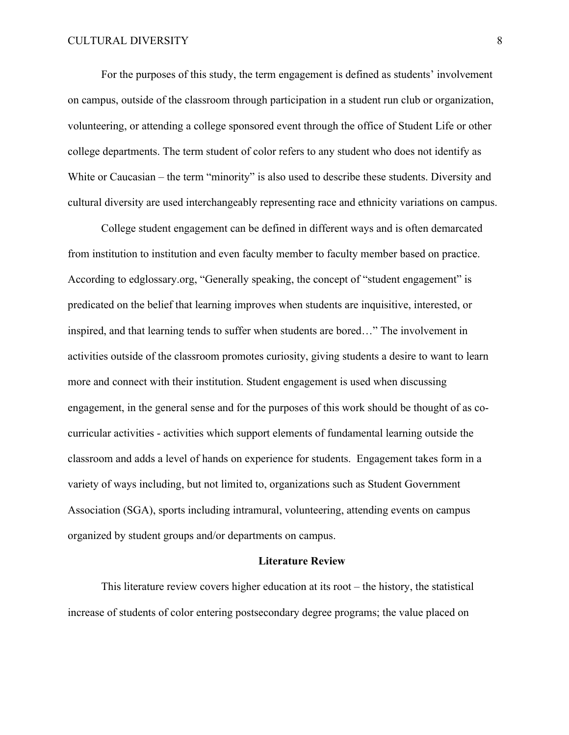For the purposes of this study, the term engagement is defined as students' involvement on campus, outside of the classroom through participation in a student run club or organization, volunteering, or attending a college sponsored event through the office of Student Life or other college departments. The term student of color refers to any student who does not identify as White or Caucasian – the term "minority" is also used to describe these students. Diversity and cultural diversity are used interchangeably representing race and ethnicity variations on campus.

College student engagement can be defined in different ways and is often demarcated from institution to institution and even faculty member to faculty member based on practice. According to edglossary.org, "Generally speaking, the concept of "student engagement" is predicated on the belief that learning improves when students are inquisitive, interested, or inspired, and that learning tends to suffer when students are bored…" The involvement in activities outside of the classroom promotes curiosity, giving students a desire to want to learn more and connect with their institution. Student engagement is used when discussing engagement, in the general sense and for the purposes of this work should be thought of as cocurricular activities - activities which support elements of fundamental learning outside the classroom and adds a level of hands on experience for students. Engagement takes form in a variety of ways including, but not limited to, organizations such as Student Government Association (SGA), sports including intramural, volunteering, attending events on campus organized by student groups and/or departments on campus.

### **Literature Review**

This literature review covers higher education at its root – the history, the statistical increase of students of color entering postsecondary degree programs; the value placed on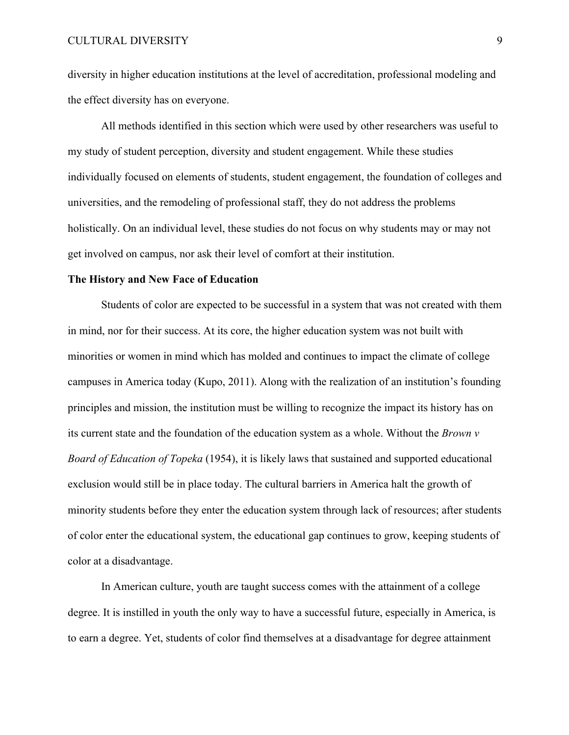### CULTURAL DIVERSITY 9

diversity in higher education institutions at the level of accreditation, professional modeling and the effect diversity has on everyone.

All methods identified in this section which were used by other researchers was useful to my study of student perception, diversity and student engagement. While these studies individually focused on elements of students, student engagement, the foundation of colleges and universities, and the remodeling of professional staff, they do not address the problems holistically. On an individual level, these studies do not focus on why students may or may not get involved on campus, nor ask their level of comfort at their institution.

### **The History and New Face of Education**

Students of color are expected to be successful in a system that was not created with them in mind, nor for their success. At its core, the higher education system was not built with minorities or women in mind which has molded and continues to impact the climate of college campuses in America today (Kupo, 2011). Along with the realization of an institution's founding principles and mission, the institution must be willing to recognize the impact its history has on its current state and the foundation of the education system as a whole. Without the *Brown v Board of Education of Topeka* (1954), it is likely laws that sustained and supported educational exclusion would still be in place today. The cultural barriers in America halt the growth of minority students before they enter the education system through lack of resources; after students of color enter the educational system, the educational gap continues to grow, keeping students of color at a disadvantage.

In American culture, youth are taught success comes with the attainment of a college degree. It is instilled in youth the only way to have a successful future, especially in America, is to earn a degree. Yet, students of color find themselves at a disadvantage for degree attainment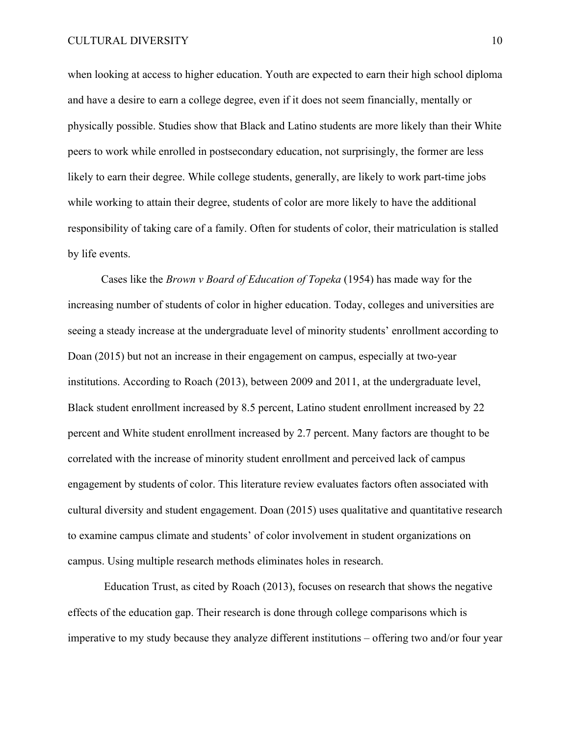when looking at access to higher education. Youth are expected to earn their high school diploma and have a desire to earn a college degree, even if it does not seem financially, mentally or physically possible. Studies show that Black and Latino students are more likely than their White peers to work while enrolled in postsecondary education, not surprisingly, the former are less likely to earn their degree. While college students, generally, are likely to work part-time jobs while working to attain their degree, students of color are more likely to have the additional responsibility of taking care of a family. Often for students of color, their matriculation is stalled by life events.

Cases like the *Brown v Board of Education of Topeka* (1954) has made way for the increasing number of students of color in higher education. Today, colleges and universities are seeing a steady increase at the undergraduate level of minority students' enrollment according to Doan (2015) but not an increase in their engagement on campus, especially at two-year institutions. According to Roach (2013), between 2009 and 2011, at the undergraduate level, Black student enrollment increased by 8.5 percent, Latino student enrollment increased by 22 percent and White student enrollment increased by 2.7 percent. Many factors are thought to be correlated with the increase of minority student enrollment and perceived lack of campus engagement by students of color. This literature review evaluates factors often associated with cultural diversity and student engagement. Doan (2015) uses qualitative and quantitative research to examine campus climate and students' of color involvement in student organizations on campus. Using multiple research methods eliminates holes in research.

Education Trust, as cited by Roach (2013), focuses on research that shows the negative effects of the education gap. Their research is done through college comparisons which is imperative to my study because they analyze different institutions – offering two and/or four year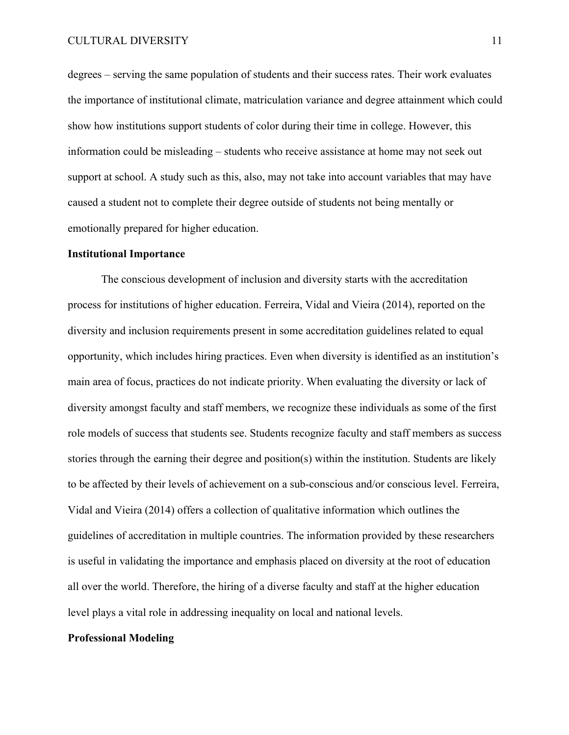degrees – serving the same population of students and their success rates. Their work evaluates the importance of institutional climate, matriculation variance and degree attainment which could show how institutions support students of color during their time in college. However, this information could be misleading – students who receive assistance at home may not seek out support at school. A study such as this, also, may not take into account variables that may have caused a student not to complete their degree outside of students not being mentally or emotionally prepared for higher education.

### **Institutional Importance**

The conscious development of inclusion and diversity starts with the accreditation process for institutions of higher education. Ferreira, Vidal and Vieira (2014), reported on the diversity and inclusion requirements present in some accreditation guidelines related to equal opportunity, which includes hiring practices. Even when diversity is identified as an institution's main area of focus, practices do not indicate priority. When evaluating the diversity or lack of diversity amongst faculty and staff members, we recognize these individuals as some of the first role models of success that students see. Students recognize faculty and staff members as success stories through the earning their degree and position(s) within the institution. Students are likely to be affected by their levels of achievement on a sub-conscious and/or conscious level. Ferreira, Vidal and Vieira (2014) offers a collection of qualitative information which outlines the guidelines of accreditation in multiple countries. The information provided by these researchers is useful in validating the importance and emphasis placed on diversity at the root of education all over the world. Therefore, the hiring of a diverse faculty and staff at the higher education level plays a vital role in addressing inequality on local and national levels.

### **Professional Modeling**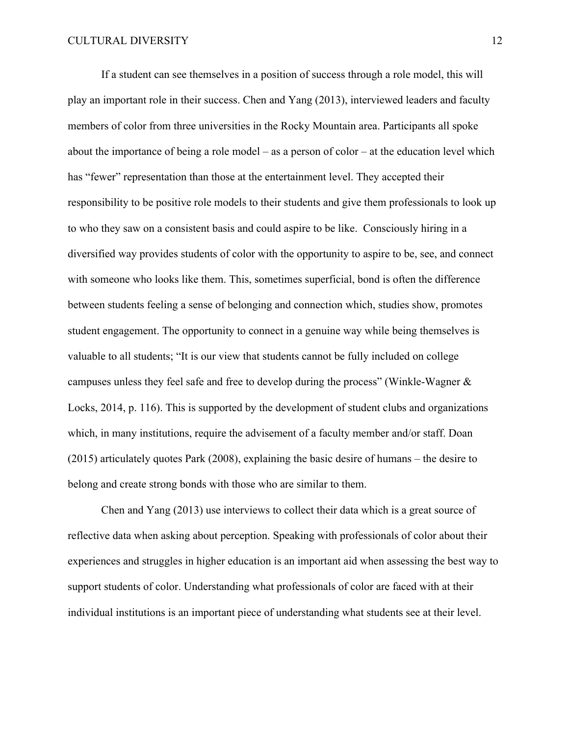If a student can see themselves in a position of success through a role model, this will play an important role in their success. Chen and Yang (2013), interviewed leaders and faculty members of color from three universities in the Rocky Mountain area. Participants all spoke about the importance of being a role model – as a person of color – at the education level which has "fewer" representation than those at the entertainment level. They accepted their responsibility to be positive role models to their students and give them professionals to look up to who they saw on a consistent basis and could aspire to be like. Consciously hiring in a diversified way provides students of color with the opportunity to aspire to be, see, and connect with someone who looks like them. This, sometimes superficial, bond is often the difference between students feeling a sense of belonging and connection which, studies show, promotes student engagement. The opportunity to connect in a genuine way while being themselves is valuable to all students; "It is our view that students cannot be fully included on college campuses unless they feel safe and free to develop during the process" (Winkle-Wagner & Locks, 2014, p. 116). This is supported by the development of student clubs and organizations which, in many institutions, require the advisement of a faculty member and/or staff. Doan (2015) articulately quotes Park (2008), explaining the basic desire of humans – the desire to belong and create strong bonds with those who are similar to them.

Chen and Yang (2013) use interviews to collect their data which is a great source of reflective data when asking about perception. Speaking with professionals of color about their experiences and struggles in higher education is an important aid when assessing the best way to support students of color. Understanding what professionals of color are faced with at their individual institutions is an important piece of understanding what students see at their level.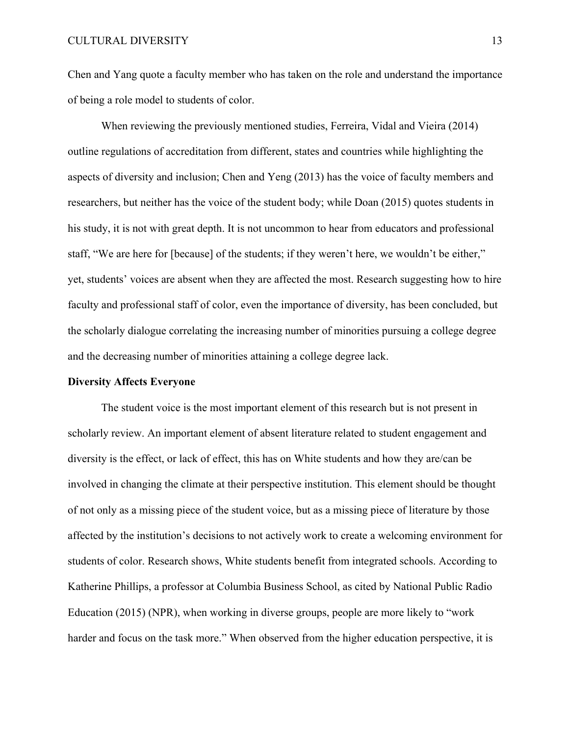Chen and Yang quote a faculty member who has taken on the role and understand the importance of being a role model to students of color.

When reviewing the previously mentioned studies, Ferreira, Vidal and Vieira (2014) outline regulations of accreditation from different, states and countries while highlighting the aspects of diversity and inclusion; Chen and Yeng (2013) has the voice of faculty members and researchers, but neither has the voice of the student body; while Doan (2015) quotes students in his study, it is not with great depth. It is not uncommon to hear from educators and professional staff, "We are here for [because] of the students; if they weren't here, we wouldn't be either," yet, students' voices are absent when they are affected the most. Research suggesting how to hire faculty and professional staff of color, even the importance of diversity, has been concluded, but the scholarly dialogue correlating the increasing number of minorities pursuing a college degree and the decreasing number of minorities attaining a college degree lack.

### **Diversity Affects Everyone**

The student voice is the most important element of this research but is not present in scholarly review. An important element of absent literature related to student engagement and diversity is the effect, or lack of effect, this has on White students and how they are/can be involved in changing the climate at their perspective institution. This element should be thought of not only as a missing piece of the student voice, but as a missing piece of literature by those affected by the institution's decisions to not actively work to create a welcoming environment for students of color. Research shows, White students benefit from integrated schools. According to Katherine Phillips, a professor at Columbia Business School, as cited by National Public Radio Education (2015) (NPR), when working in diverse groups, people are more likely to "work harder and focus on the task more." When observed from the higher education perspective, it is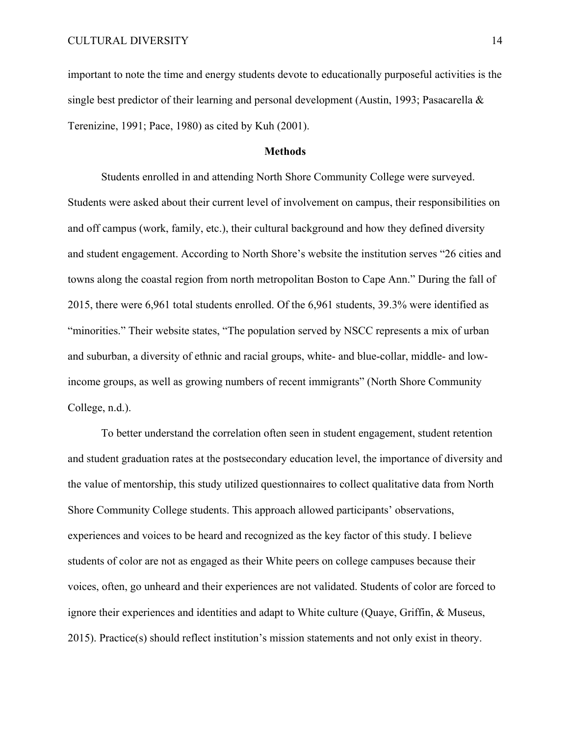important to note the time and energy students devote to educationally purposeful activities is the single best predictor of their learning and personal development (Austin, 1993; Pasacarella & Terenizine, 1991; Pace, 1980) as cited by Kuh (2001).

### **Methods**

Students enrolled in and attending North Shore Community College were surveyed. Students were asked about their current level of involvement on campus, their responsibilities on and off campus (work, family, etc.), their cultural background and how they defined diversity and student engagement. According to North Shore's website the institution serves "26 cities and towns along the coastal region from north metropolitan Boston to Cape Ann." During the fall of 2015, there were 6,961 total students enrolled. Of the 6,961 students, 39.3% were identified as "minorities." Their website states, "The population served by NSCC represents a mix of urban and suburban, a diversity of ethnic and racial groups, white- and blue-collar, middle- and lowincome groups, as well as growing numbers of recent immigrants" (North Shore Community College, n.d.).

To better understand the correlation often seen in student engagement, student retention and student graduation rates at the postsecondary education level, the importance of diversity and the value of mentorship, this study utilized questionnaires to collect qualitative data from North Shore Community College students. This approach allowed participants' observations, experiences and voices to be heard and recognized as the key factor of this study. I believe students of color are not as engaged as their White peers on college campuses because their voices, often, go unheard and their experiences are not validated. Students of color are forced to ignore their experiences and identities and adapt to White culture (Quaye, Griffin, & Museus, 2015). Practice(s) should reflect institution's mission statements and not only exist in theory.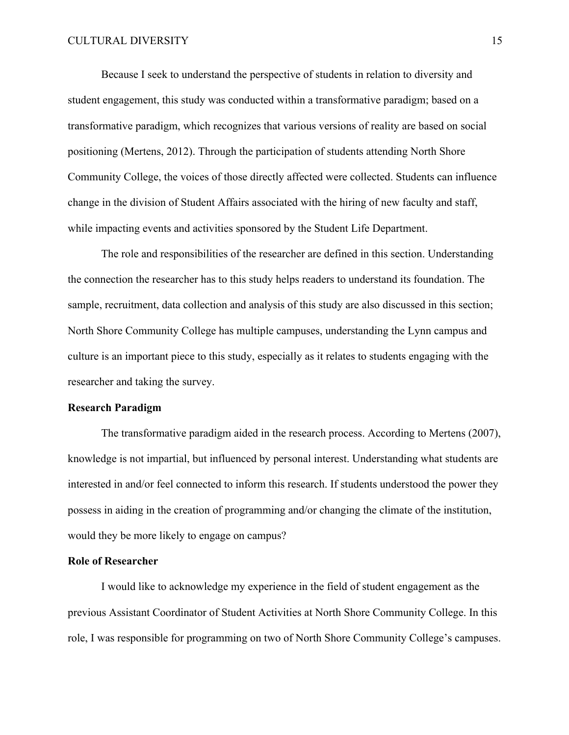### CULTURAL DIVERSITY 15

Because I seek to understand the perspective of students in relation to diversity and student engagement, this study was conducted within a transformative paradigm; based on a transformative paradigm, which recognizes that various versions of reality are based on social positioning (Mertens, 2012). Through the participation of students attending North Shore Community College, the voices of those directly affected were collected. Students can influence change in the division of Student Affairs associated with the hiring of new faculty and staff, while impacting events and activities sponsored by the Student Life Department.

The role and responsibilities of the researcher are defined in this section. Understanding the connection the researcher has to this study helps readers to understand its foundation. The sample, recruitment, data collection and analysis of this study are also discussed in this section; North Shore Community College has multiple campuses, understanding the Lynn campus and culture is an important piece to this study, especially as it relates to students engaging with the researcher and taking the survey.

### **Research Paradigm**

The transformative paradigm aided in the research process. According to Mertens (2007), knowledge is not impartial, but influenced by personal interest. Understanding what students are interested in and/or feel connected to inform this research. If students understood the power they possess in aiding in the creation of programming and/or changing the climate of the institution, would they be more likely to engage on campus?

### **Role of Researcher**

I would like to acknowledge my experience in the field of student engagement as the previous Assistant Coordinator of Student Activities at North Shore Community College. In this role, I was responsible for programming on two of North Shore Community College's campuses.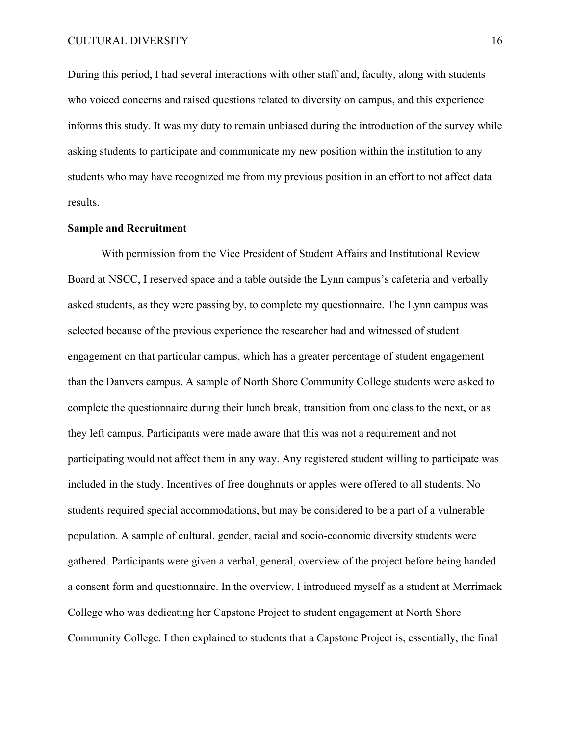During this period, I had several interactions with other staff and, faculty, along with students who voiced concerns and raised questions related to diversity on campus, and this experience informs this study. It was my duty to remain unbiased during the introduction of the survey while asking students to participate and communicate my new position within the institution to any students who may have recognized me from my previous position in an effort to not affect data results.

### **Sample and Recruitment**

With permission from the Vice President of Student Affairs and Institutional Review Board at NSCC, I reserved space and a table outside the Lynn campus's cafeteria and verbally asked students, as they were passing by, to complete my questionnaire. The Lynn campus was selected because of the previous experience the researcher had and witnessed of student engagement on that particular campus, which has a greater percentage of student engagement than the Danvers campus. A sample of North Shore Community College students were asked to complete the questionnaire during their lunch break, transition from one class to the next, or as they left campus. Participants were made aware that this was not a requirement and not participating would not affect them in any way. Any registered student willing to participate was included in the study. Incentives of free doughnuts or apples were offered to all students. No students required special accommodations, but may be considered to be a part of a vulnerable population. A sample of cultural, gender, racial and socio-economic diversity students were gathered. Participants were given a verbal, general, overview of the project before being handed a consent form and questionnaire. In the overview, I introduced myself as a student at Merrimack College who was dedicating her Capstone Project to student engagement at North Shore Community College. I then explained to students that a Capstone Project is, essentially, the final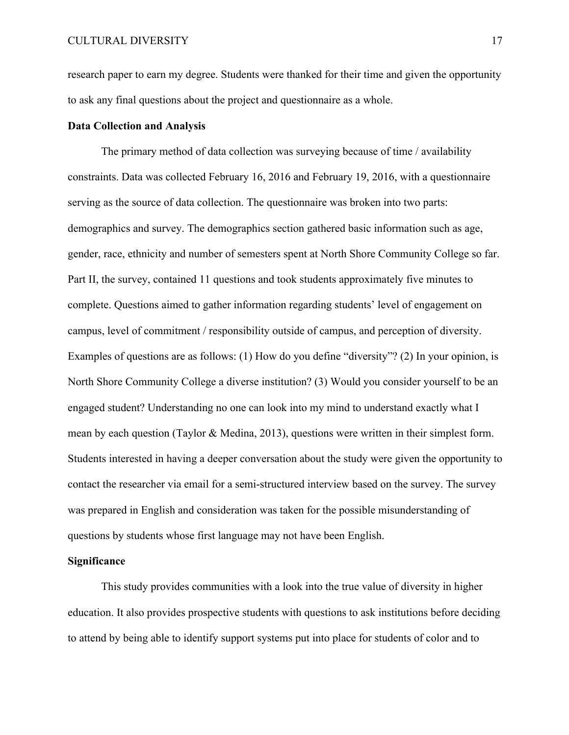research paper to earn my degree. Students were thanked for their time and given the opportunity to ask any final questions about the project and questionnaire as a whole.

### **Data Collection and Analysis**

The primary method of data collection was surveying because of time / availability constraints. Data was collected February 16, 2016 and February 19, 2016, with a questionnaire serving as the source of data collection. The questionnaire was broken into two parts: demographics and survey. The demographics section gathered basic information such as age, gender, race, ethnicity and number of semesters spent at North Shore Community College so far. Part II, the survey, contained 11 questions and took students approximately five minutes to complete. Questions aimed to gather information regarding students' level of engagement on campus, level of commitment / responsibility outside of campus, and perception of diversity. Examples of questions are as follows: (1) How do you define "diversity"? (2) In your opinion, is North Shore Community College a diverse institution? (3) Would you consider yourself to be an engaged student? Understanding no one can look into my mind to understand exactly what I mean by each question (Taylor & Medina, 2013), questions were written in their simplest form. Students interested in having a deeper conversation about the study were given the opportunity to contact the researcher via email for a semi-structured interview based on the survey. The survey was prepared in English and consideration was taken for the possible misunderstanding of questions by students whose first language may not have been English.

### **Significance**

This study provides communities with a look into the true value of diversity in higher education. It also provides prospective students with questions to ask institutions before deciding to attend by being able to identify support systems put into place for students of color and to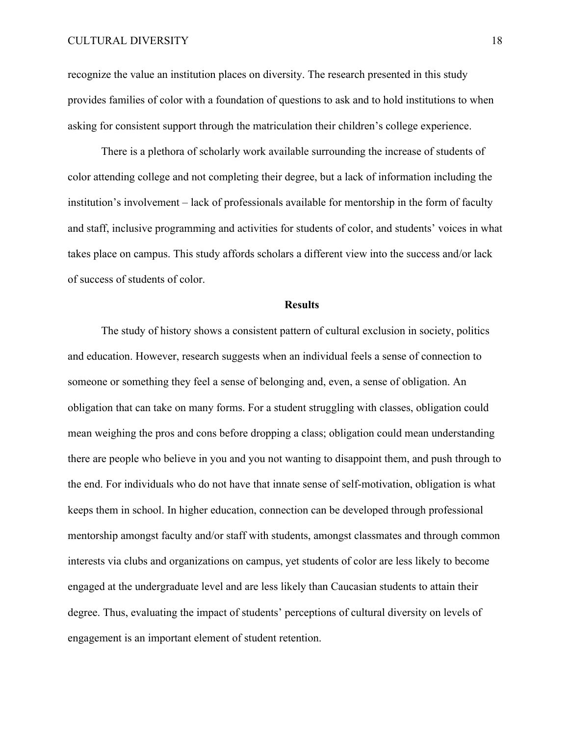recognize the value an institution places on diversity. The research presented in this study provides families of color with a foundation of questions to ask and to hold institutions to when asking for consistent support through the matriculation their children's college experience.

There is a plethora of scholarly work available surrounding the increase of students of color attending college and not completing their degree, but a lack of information including the institution's involvement – lack of professionals available for mentorship in the form of faculty and staff, inclusive programming and activities for students of color, and students' voices in what takes place on campus. This study affords scholars a different view into the success and/or lack of success of students of color.

### **Results**

The study of history shows a consistent pattern of cultural exclusion in society, politics and education. However, research suggests when an individual feels a sense of connection to someone or something they feel a sense of belonging and, even, a sense of obligation. An obligation that can take on many forms. For a student struggling with classes, obligation could mean weighing the pros and cons before dropping a class; obligation could mean understanding there are people who believe in you and you not wanting to disappoint them, and push through to the end. For individuals who do not have that innate sense of self-motivation, obligation is what keeps them in school. In higher education, connection can be developed through professional mentorship amongst faculty and/or staff with students, amongst classmates and through common interests via clubs and organizations on campus, yet students of color are less likely to become engaged at the undergraduate level and are less likely than Caucasian students to attain their degree. Thus, evaluating the impact of students' perceptions of cultural diversity on levels of engagement is an important element of student retention.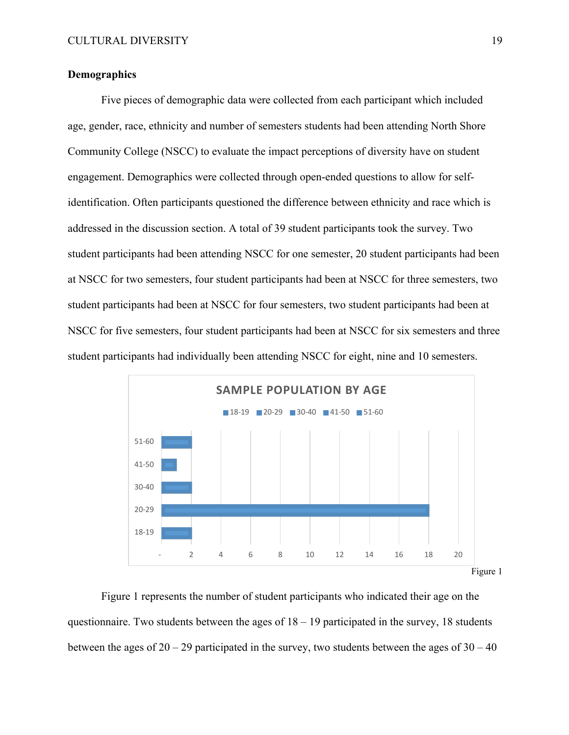### **Demographics**

Five pieces of demographic data were collected from each participant which included age, gender, race, ethnicity and number of semesters students had been attending North Shore Community College (NSCC) to evaluate the impact perceptions of diversity have on student engagement. Demographics were collected through open-ended questions to allow for selfidentification. Often participants questioned the difference between ethnicity and race which is addressed in the discussion section. A total of 39 student participants took the survey. Two student participants had been attending NSCC for one semester, 20 student participants had been at NSCC for two semesters, four student participants had been at NSCC for three semesters, two student participants had been at NSCC for four semesters, two student participants had been at NSCC for five semesters, four student participants had been at NSCC for six semesters and three student participants had individually been attending NSCC for eight, nine and 10 semesters.



Figure 1 represents the number of student participants who indicated their age on the questionnaire. Two students between the ages of  $18 - 19$  participated in the survey, 18 students between the ages of  $20 - 29$  participated in the survey, two students between the ages of  $30 - 40$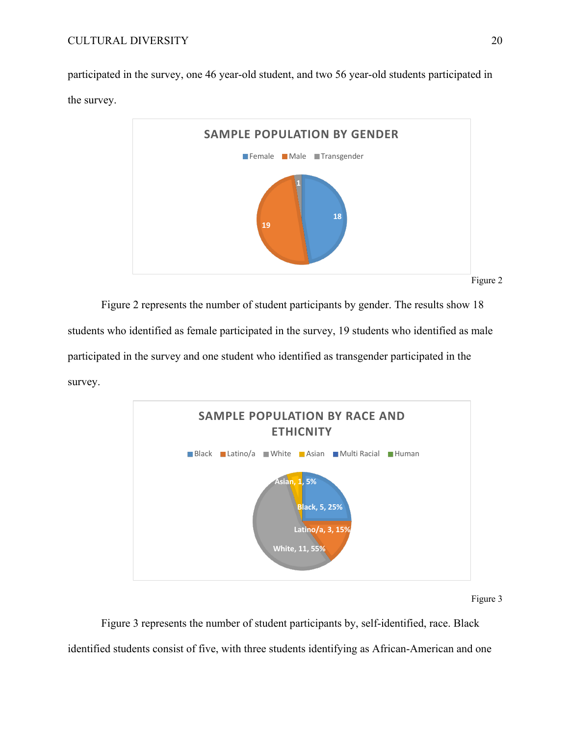participated in the survey, one 46 year-old student, and two 56 year-old students participated in the survey.



Figure 2 represents the number of student participants by gender. The results show 18 students who identified as female participated in the survey, 19 students who identified as male participated in the survey and one student who identified as transgender participated in the survey.



Figure 3

Figure 3 represents the number of student participants by, self-identified, race. Black identified students consist of five, with three students identifying as African-American and one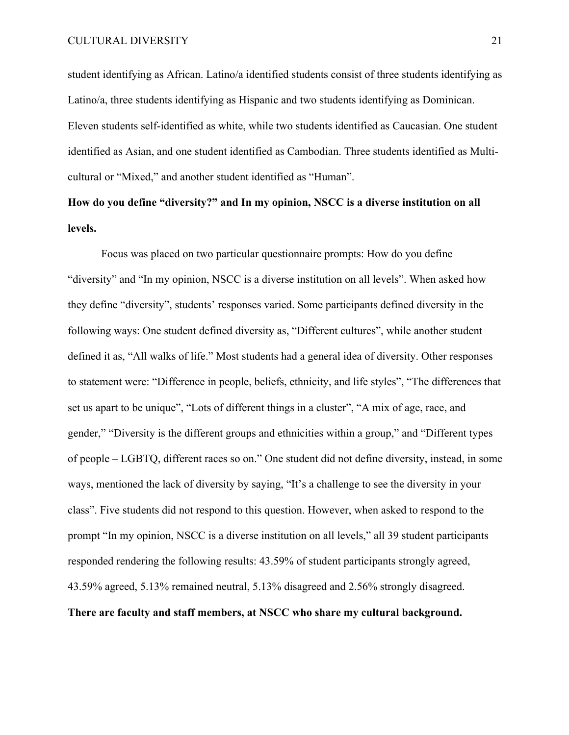student identifying as African. Latino/a identified students consist of three students identifying as Latino/a, three students identifying as Hispanic and two students identifying as Dominican. Eleven students self-identified as white, while two students identified as Caucasian. One student identified as Asian, and one student identified as Cambodian. Three students identified as Multicultural or "Mixed," and another student identified as "Human".

## **How do you define "diversity?" and In my opinion, NSCC is a diverse institution on all levels.**

Focus was placed on two particular questionnaire prompts: How do you define "diversity" and "In my opinion, NSCC is a diverse institution on all levels". When asked how they define "diversity", students' responses varied. Some participants defined diversity in the following ways: One student defined diversity as, "Different cultures", while another student defined it as, "All walks of life." Most students had a general idea of diversity. Other responses to statement were: "Difference in people, beliefs, ethnicity, and life styles", "The differences that set us apart to be unique", "Lots of different things in a cluster", "A mix of age, race, and gender," "Diversity is the different groups and ethnicities within a group," and "Different types of people – LGBTQ, different races so on." One student did not define diversity, instead, in some ways, mentioned the lack of diversity by saying, "It's a challenge to see the diversity in your class". Five students did not respond to this question. However, when asked to respond to the prompt "In my opinion, NSCC is a diverse institution on all levels," all 39 student participants responded rendering the following results: 43.59% of student participants strongly agreed, 43.59% agreed, 5.13% remained neutral, 5.13% disagreed and 2.56% strongly disagreed. **There are faculty and staff members, at NSCC who share my cultural background.**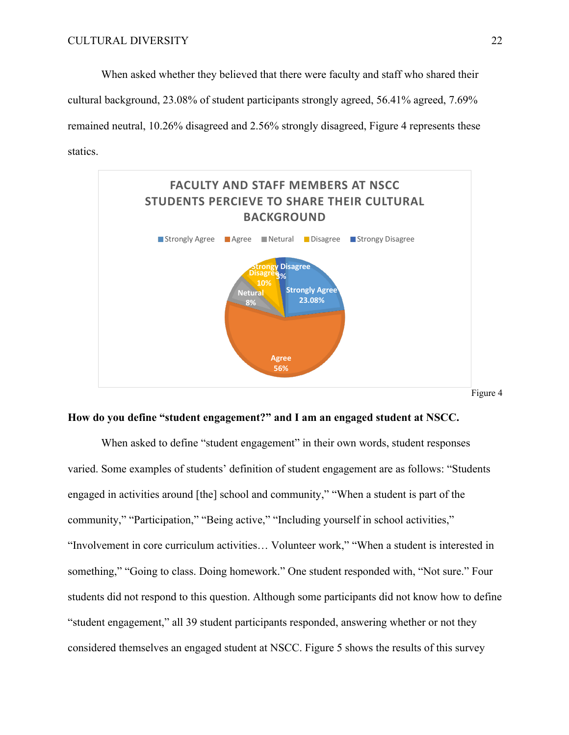When asked whether they believed that there were faculty and staff who shared their cultural background, 23.08% of student participants strongly agreed, 56.41% agreed, 7.69% remained neutral, 10.26% disagreed and 2.56% strongly disagreed, Figure 4 represents these statics.



### **How do you define "student engagement?" and I am an engaged student at NSCC.**

When asked to define "student engagement" in their own words, student responses varied. Some examples of students' definition of student engagement are as follows: "Students engaged in activities around [the] school and community," "When a student is part of the community," "Participation," "Being active," "Including yourself in school activities," "Involvement in core curriculum activities… Volunteer work," "When a student is interested in something," "Going to class. Doing homework." One student responded with, "Not sure." Four students did not respond to this question. Although some participants did not know how to define "student engagement," all 39 student participants responded, answering whether or not they considered themselves an engaged student at NSCC. Figure 5 shows the results of this survey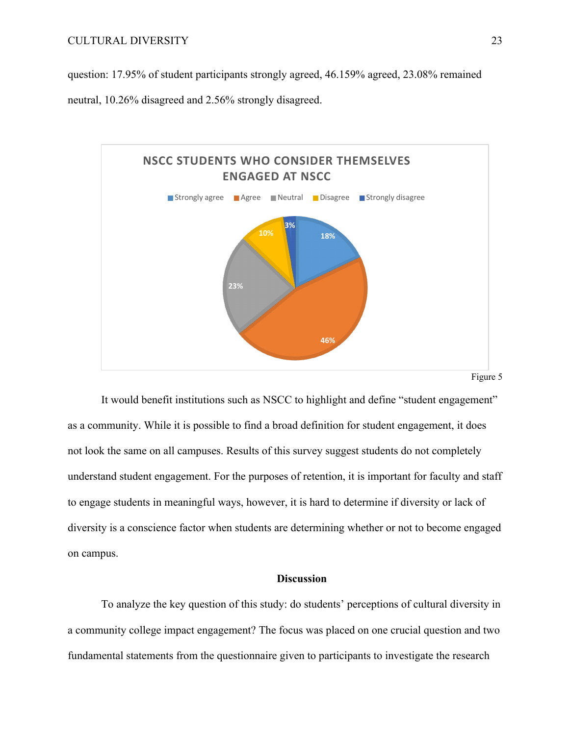question: 17.95% of student participants strongly agreed, 46.159% agreed, 23.08% remained

neutral, 10.26% disagreed and 2.56% strongly disagreed.



Figure 5

It would benefit institutions such as NSCC to highlight and define "student engagement" as a community. While it is possible to find a broad definition for student engagement, it does not look the same on all campuses. Results of this survey suggest students do not completely understand student engagement. For the purposes of retention, it is important for faculty and staff to engage students in meaningful ways, however, it is hard to determine if diversity or lack of diversity is a conscience factor when students are determining whether or not to become engaged on campus.

### **Discussion**

To analyze the key question of this study: do students' perceptions of cultural diversity in a community college impact engagement? The focus was placed on one crucial question and two fundamental statements from the questionnaire given to participants to investigate the research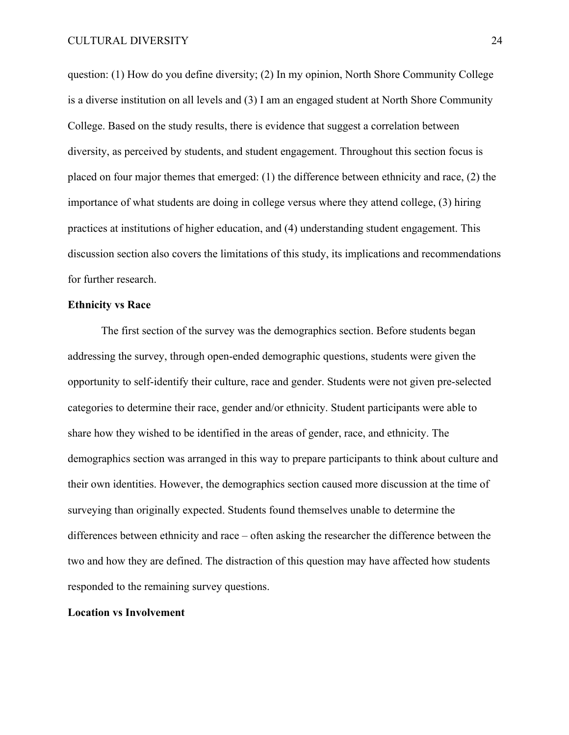question: (1) How do you define diversity; (2) In my opinion, North Shore Community College is a diverse institution on all levels and (3) I am an engaged student at North Shore Community College. Based on the study results, there is evidence that suggest a correlation between diversity, as perceived by students, and student engagement. Throughout this section focus is placed on four major themes that emerged: (1) the difference between ethnicity and race, (2) the importance of what students are doing in college versus where they attend college, (3) hiring practices at institutions of higher education, and (4) understanding student engagement. This discussion section also covers the limitations of this study, its implications and recommendations for further research.

### **Ethnicity vs Race**

The first section of the survey was the demographics section. Before students began addressing the survey, through open-ended demographic questions, students were given the opportunity to self-identify their culture, race and gender. Students were not given pre-selected categories to determine their race, gender and/or ethnicity. Student participants were able to share how they wished to be identified in the areas of gender, race, and ethnicity. The demographics section was arranged in this way to prepare participants to think about culture and their own identities. However, the demographics section caused more discussion at the time of surveying than originally expected. Students found themselves unable to determine the differences between ethnicity and race – often asking the researcher the difference between the two and how they are defined. The distraction of this question may have affected how students responded to the remaining survey questions.

### **Location vs Involvement**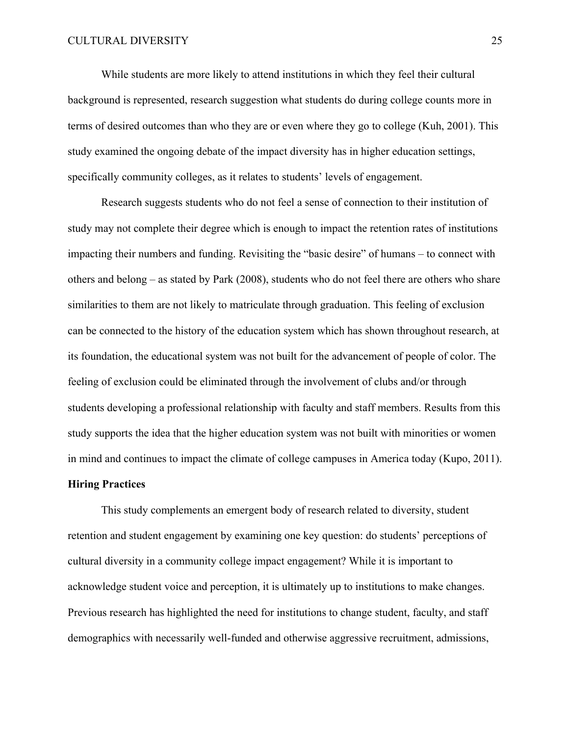While students are more likely to attend institutions in which they feel their cultural background is represented, research suggestion what students do during college counts more in terms of desired outcomes than who they are or even where they go to college (Kuh, 2001). This study examined the ongoing debate of the impact diversity has in higher education settings, specifically community colleges, as it relates to students' levels of engagement.

Research suggests students who do not feel a sense of connection to their institution of study may not complete their degree which is enough to impact the retention rates of institutions impacting their numbers and funding. Revisiting the "basic desire" of humans – to connect with others and belong – as stated by Park (2008), students who do not feel there are others who share similarities to them are not likely to matriculate through graduation. This feeling of exclusion can be connected to the history of the education system which has shown throughout research, at its foundation, the educational system was not built for the advancement of people of color. The feeling of exclusion could be eliminated through the involvement of clubs and/or through students developing a professional relationship with faculty and staff members. Results from this study supports the idea that the higher education system was not built with minorities or women in mind and continues to impact the climate of college campuses in America today (Kupo, 2011).

### **Hiring Practices**

This study complements an emergent body of research related to diversity, student retention and student engagement by examining one key question: do students' perceptions of cultural diversity in a community college impact engagement? While it is important to acknowledge student voice and perception, it is ultimately up to institutions to make changes. Previous research has highlighted the need for institutions to change student, faculty, and staff demographics with necessarily well-funded and otherwise aggressive recruitment, admissions,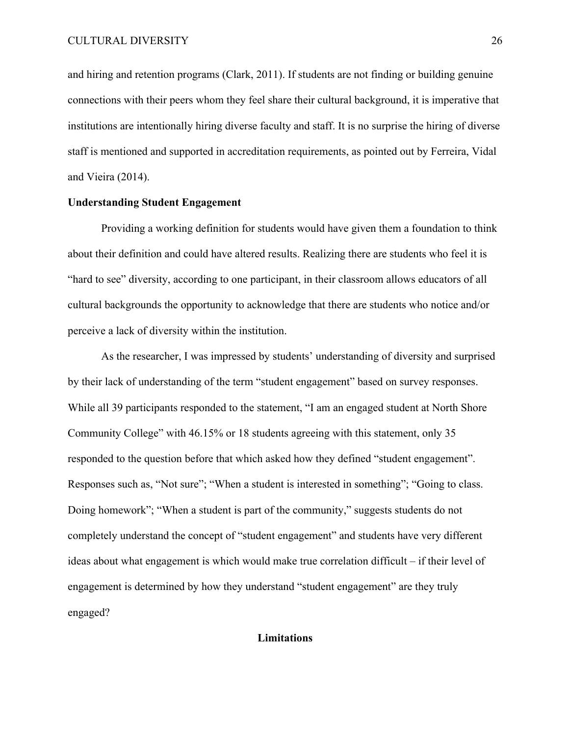and hiring and retention programs (Clark, 2011). If students are not finding or building genuine connections with their peers whom they feel share their cultural background, it is imperative that institutions are intentionally hiring diverse faculty and staff. It is no surprise the hiring of diverse staff is mentioned and supported in accreditation requirements, as pointed out by Ferreira, Vidal and Vieira (2014).

### **Understanding Student Engagement**

Providing a working definition for students would have given them a foundation to think about their definition and could have altered results. Realizing there are students who feel it is "hard to see" diversity, according to one participant, in their classroom allows educators of all cultural backgrounds the opportunity to acknowledge that there are students who notice and/or perceive a lack of diversity within the institution.

As the researcher, I was impressed by students' understanding of diversity and surprised by their lack of understanding of the term "student engagement" based on survey responses. While all 39 participants responded to the statement, "I am an engaged student at North Shore Community College" with 46.15% or 18 students agreeing with this statement, only 35 responded to the question before that which asked how they defined "student engagement". Responses such as, "Not sure"; "When a student is interested in something"; "Going to class. Doing homework"; "When a student is part of the community," suggests students do not completely understand the concept of "student engagement" and students have very different ideas about what engagement is which would make true correlation difficult – if their level of engagement is determined by how they understand "student engagement" are they truly engaged?

### **Limitations**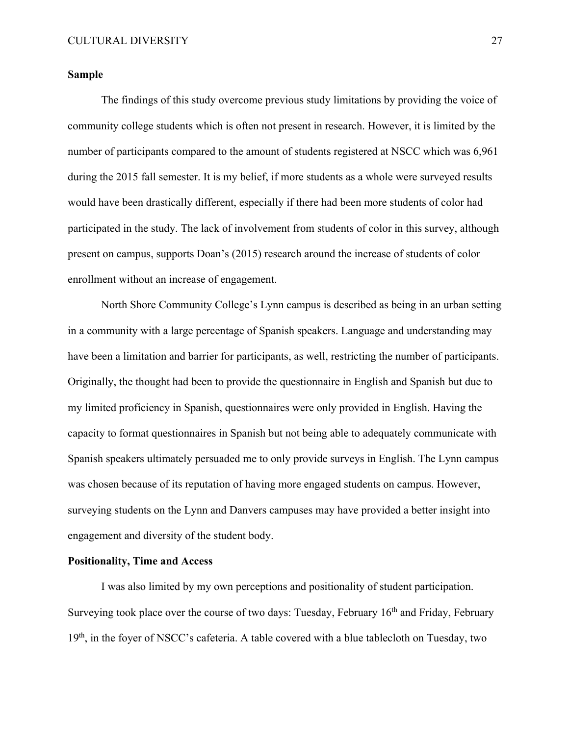### **Sample**

The findings of this study overcome previous study limitations by providing the voice of community college students which is often not present in research. However, it is limited by the number of participants compared to the amount of students registered at NSCC which was 6,961 during the 2015 fall semester. It is my belief, if more students as a whole were surveyed results would have been drastically different, especially if there had been more students of color had participated in the study. The lack of involvement from students of color in this survey, although present on campus, supports Doan's (2015) research around the increase of students of color enrollment without an increase of engagement.

North Shore Community College's Lynn campus is described as being in an urban setting in a community with a large percentage of Spanish speakers. Language and understanding may have been a limitation and barrier for participants, as well, restricting the number of participants. Originally, the thought had been to provide the questionnaire in English and Spanish but due to my limited proficiency in Spanish, questionnaires were only provided in English. Having the capacity to format questionnaires in Spanish but not being able to adequately communicate with Spanish speakers ultimately persuaded me to only provide surveys in English. The Lynn campus was chosen because of its reputation of having more engaged students on campus. However, surveying students on the Lynn and Danvers campuses may have provided a better insight into engagement and diversity of the student body.

### **Positionality, Time and Access**

I was also limited by my own perceptions and positionality of student participation. Surveying took place over the course of two days: Tuesday, February  $16<sup>th</sup>$  and Friday, February 19<sup>th</sup>, in the foyer of NSCC's cafeteria. A table covered with a blue tablecloth on Tuesday, two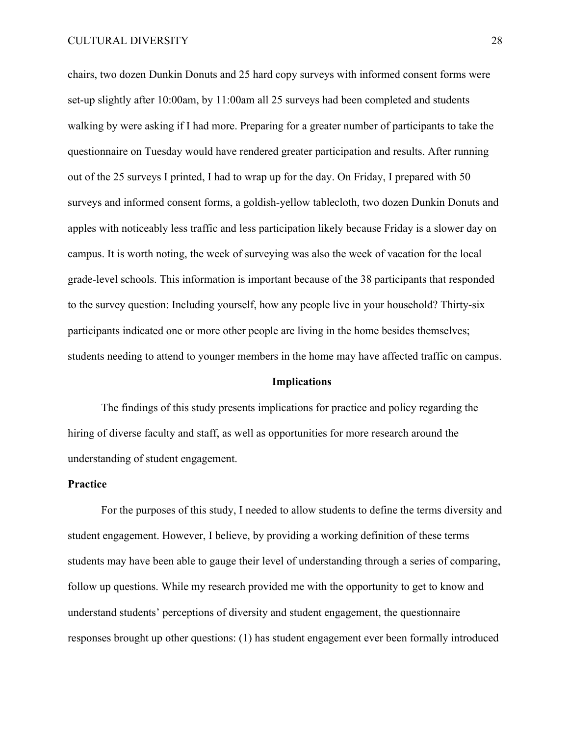chairs, two dozen Dunkin Donuts and 25 hard copy surveys with informed consent forms were set-up slightly after 10:00am, by 11:00am all 25 surveys had been completed and students walking by were asking if I had more. Preparing for a greater number of participants to take the questionnaire on Tuesday would have rendered greater participation and results. After running out of the 25 surveys I printed, I had to wrap up for the day. On Friday, I prepared with 50 surveys and informed consent forms, a goldish-yellow tablecloth, two dozen Dunkin Donuts and apples with noticeably less traffic and less participation likely because Friday is a slower day on campus. It is worth noting, the week of surveying was also the week of vacation for the local grade-level schools. This information is important because of the 38 participants that responded to the survey question: Including yourself, how any people live in your household? Thirty-six participants indicated one or more other people are living in the home besides themselves; students needing to attend to younger members in the home may have affected traffic on campus.

### **Implications**

The findings of this study presents implications for practice and policy regarding the hiring of diverse faculty and staff, as well as opportunities for more research around the understanding of student engagement.

### **Practice**

For the purposes of this study, I needed to allow students to define the terms diversity and student engagement. However, I believe, by providing a working definition of these terms students may have been able to gauge their level of understanding through a series of comparing, follow up questions. While my research provided me with the opportunity to get to know and understand students' perceptions of diversity and student engagement, the questionnaire responses brought up other questions: (1) has student engagement ever been formally introduced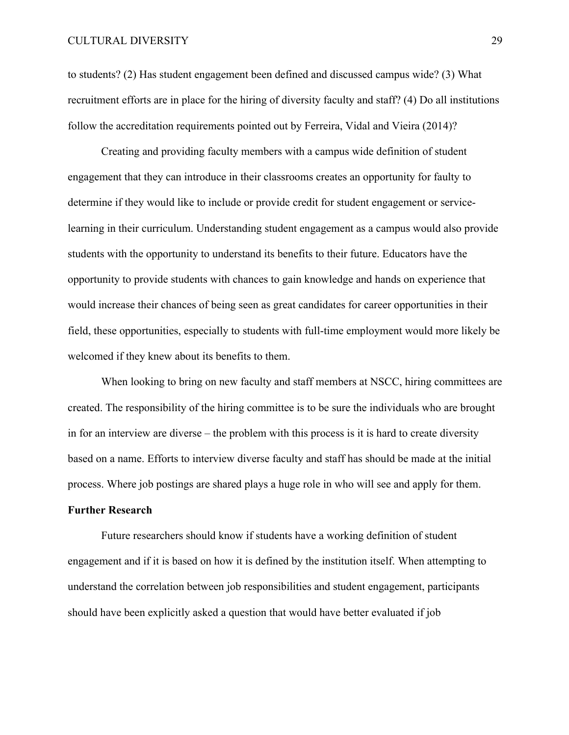### CULTURAL DIVERSITY 29

to students? (2) Has student engagement been defined and discussed campus wide? (3) What recruitment efforts are in place for the hiring of diversity faculty and staff? (4) Do all institutions follow the accreditation requirements pointed out by Ferreira, Vidal and Vieira (2014)?

Creating and providing faculty members with a campus wide definition of student engagement that they can introduce in their classrooms creates an opportunity for faulty to determine if they would like to include or provide credit for student engagement or servicelearning in their curriculum. Understanding student engagement as a campus would also provide students with the opportunity to understand its benefits to their future. Educators have the opportunity to provide students with chances to gain knowledge and hands on experience that would increase their chances of being seen as great candidates for career opportunities in their field, these opportunities, especially to students with full-time employment would more likely be welcomed if they knew about its benefits to them.

When looking to bring on new faculty and staff members at NSCC, hiring committees are created. The responsibility of the hiring committee is to be sure the individuals who are brought in for an interview are diverse – the problem with this process is it is hard to create diversity based on a name. Efforts to interview diverse faculty and staff has should be made at the initial process. Where job postings are shared plays a huge role in who will see and apply for them.

### **Further Research**

Future researchers should know if students have a working definition of student engagement and if it is based on how it is defined by the institution itself. When attempting to understand the correlation between job responsibilities and student engagement, participants should have been explicitly asked a question that would have better evaluated if job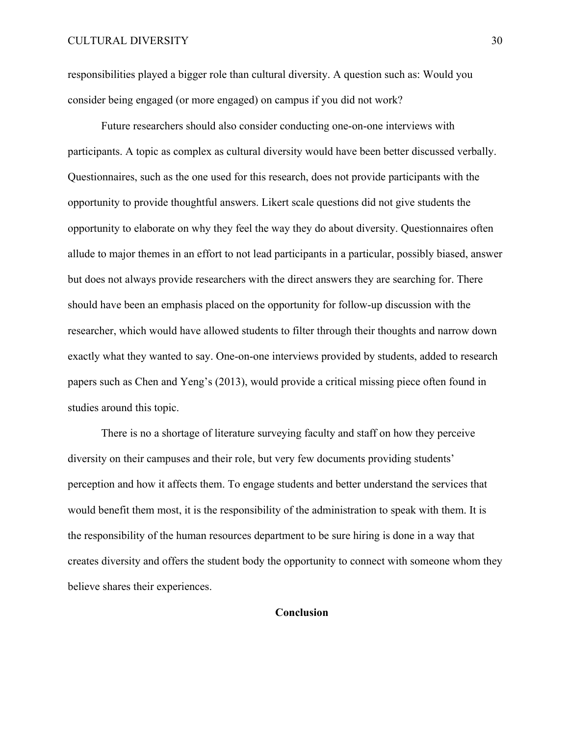### CULTURAL DIVERSITY 30

responsibilities played a bigger role than cultural diversity. A question such as: Would you consider being engaged (or more engaged) on campus if you did not work?

Future researchers should also consider conducting one-on-one interviews with participants. A topic as complex as cultural diversity would have been better discussed verbally. Questionnaires, such as the one used for this research, does not provide participants with the opportunity to provide thoughtful answers. Likert scale questions did not give students the opportunity to elaborate on why they feel the way they do about diversity. Questionnaires often allude to major themes in an effort to not lead participants in a particular, possibly biased, answer but does not always provide researchers with the direct answers they are searching for. There should have been an emphasis placed on the opportunity for follow-up discussion with the researcher, which would have allowed students to filter through their thoughts and narrow down exactly what they wanted to say. One-on-one interviews provided by students, added to research papers such as Chen and Yeng's (2013), would provide a critical missing piece often found in studies around this topic.

There is no a shortage of literature surveying faculty and staff on how they perceive diversity on their campuses and their role, but very few documents providing students' perception and how it affects them. To engage students and better understand the services that would benefit them most, it is the responsibility of the administration to speak with them. It is the responsibility of the human resources department to be sure hiring is done in a way that creates diversity and offers the student body the opportunity to connect with someone whom they believe shares their experiences.

### **Conclusion**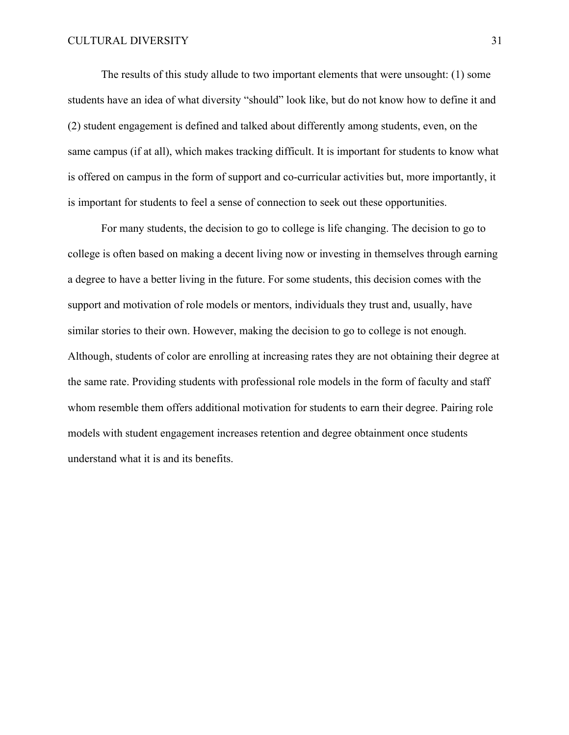The results of this study allude to two important elements that were unsought: (1) some students have an idea of what diversity "should" look like, but do not know how to define it and (2) student engagement is defined and talked about differently among students, even, on the same campus (if at all), which makes tracking difficult. It is important for students to know what is offered on campus in the form of support and co-curricular activities but, more importantly, it is important for students to feel a sense of connection to seek out these opportunities.

For many students, the decision to go to college is life changing. The decision to go to college is often based on making a decent living now or investing in themselves through earning a degree to have a better living in the future. For some students, this decision comes with the support and motivation of role models or mentors, individuals they trust and, usually, have similar stories to their own. However, making the decision to go to college is not enough. Although, students of color are enrolling at increasing rates they are not obtaining their degree at the same rate. Providing students with professional role models in the form of faculty and staff whom resemble them offers additional motivation for students to earn their degree. Pairing role models with student engagement increases retention and degree obtainment once students understand what it is and its benefits.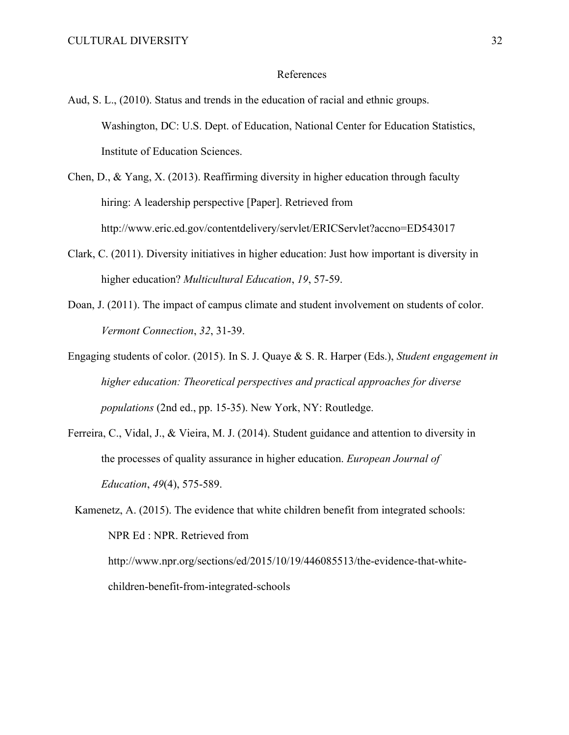### References

- Aud, S. L., (2010). Status and trends in the education of racial and ethnic groups. Washington, DC: U.S. Dept. of Education, National Center for Education Statistics, Institute of Education Sciences.
- Chen, D., & Yang, X. (2013). Reaffirming diversity in higher education through faculty hiring: A leadership perspective [Paper]. Retrieved from http://www.eric.ed.gov/contentdelivery/servlet/ERICServlet?accno=ED543017
- Clark, C. (2011). Diversity initiatives in higher education: Just how important is diversity in higher education? *Multicultural Education*, *19*, 57-59.
- Doan, J. (2011). The impact of campus climate and student involvement on students of color. *Vermont Connection*, *32*, 31-39.
- Engaging students of color. (2015). In S. J. Quaye & S. R. Harper (Eds.), *Student engagement in higher education: Theoretical perspectives and practical approaches for diverse populations* (2nd ed., pp. 15-35). New York, NY: Routledge.
- Ferreira, C., Vidal, J., & Vieira, M. J. (2014). Student guidance and attention to diversity in the processes of quality assurance in higher education. *European Journal of Education*, *49*(4), 575-589.

Kamenetz, A. (2015). The evidence that white children benefit from integrated schools: NPR Ed : NPR. Retrieved from http://www.npr.org/sections/ed/2015/10/19/446085513/the-evidence-that-whitechildren-benefit-from-integrated-schools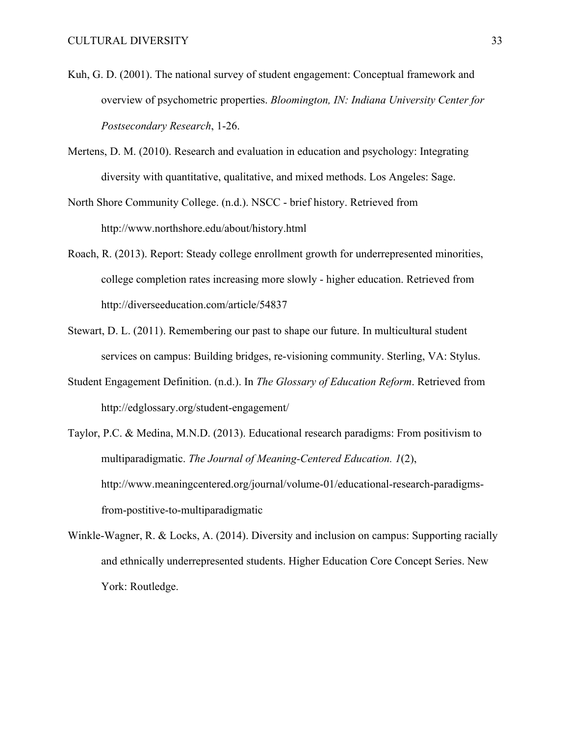- Kuh, G. D. (2001). The national survey of student engagement: Conceptual framework and overview of psychometric properties. *Bloomington, IN: Indiana University Center for Postsecondary Research*, 1-26.
- Mertens, D. M. (2010). Research and evaluation in education and psychology: Integrating diversity with quantitative, qualitative, and mixed methods. Los Angeles: Sage.
- North Shore Community College. (n.d.). NSCC brief history. Retrieved from http://www.northshore.edu/about/history.html
- Roach, R. (2013). Report: Steady college enrollment growth for underrepresented minorities, college completion rates increasing more slowly - higher education. Retrieved from http://diverseeducation.com/article/54837
- Stewart, D. L. (2011). Remembering our past to shape our future. In multicultural student services on campus: Building bridges, re-visioning community. Sterling, VA: Stylus.
- Student Engagement Definition. (n.d.). In *The Glossary of Education Reform*. Retrieved from http://edglossary.org/student-engagement/
- Taylor, P.C. & Medina, M.N.D. (2013). Educational research paradigms: From positivism to multiparadigmatic. *The Journal of Meaning-Centered Education. 1*(2), http://www.meaningcentered.org/journal/volume-01/educational-research-paradigmsfrom-postitive-to-multiparadigmatic
- Winkle-Wagner, R. & Locks, A. (2014). Diversity and inclusion on campus: Supporting racially and ethnically underrepresented students. Higher Education Core Concept Series. New York: Routledge.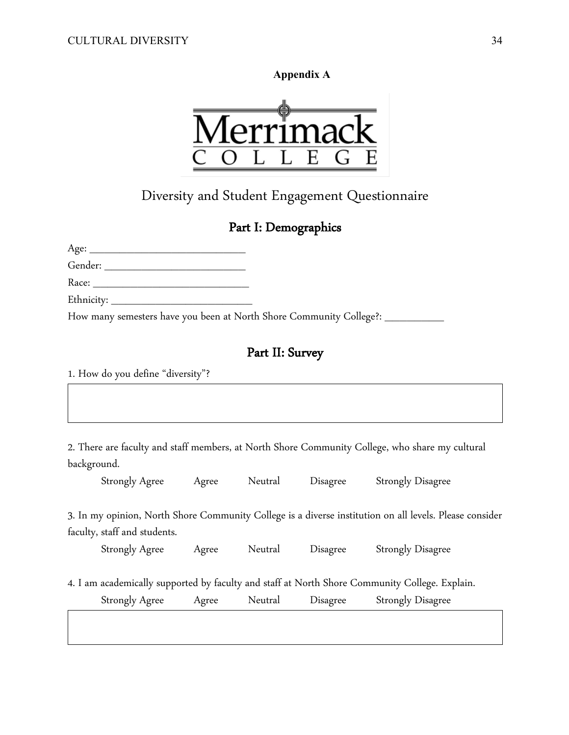**Appendix A**



Diversity and Student Engagement Questionnaire

### Part I: Demographics

Age: \_\_\_\_\_\_\_\_\_\_\_\_\_\_\_\_\_\_\_\_\_

Gender: \_\_\_\_\_\_\_\_\_\_\_\_\_\_\_\_\_\_\_ Race: \_\_\_\_\_\_\_\_\_\_\_\_\_\_\_\_\_\_\_\_\_

Ethnicity:  $\_\_$ 

How many semesters have you been at North Shore Community College?: \_\_\_\_\_\_\_\_\_\_\_\_

### Part II: Survey

1. How do you define "diversity"?

2. There are faculty and staff members, at North Shore Community College, who share my cultural background.

Strongly Agree Agree Neutral Disagree Strongly Disagree

3. In my opinion, North Shore Community College is a diverse institution on all levels. Please consider faculty, staff and students.

Strongly Agree Agree Neutral Disagree Strongly Disagree

4. I am academically supported by faculty and staff at North Shore Community College. Explain.

Strongly Agree Agree Neutral Disagree Strongly Disagree